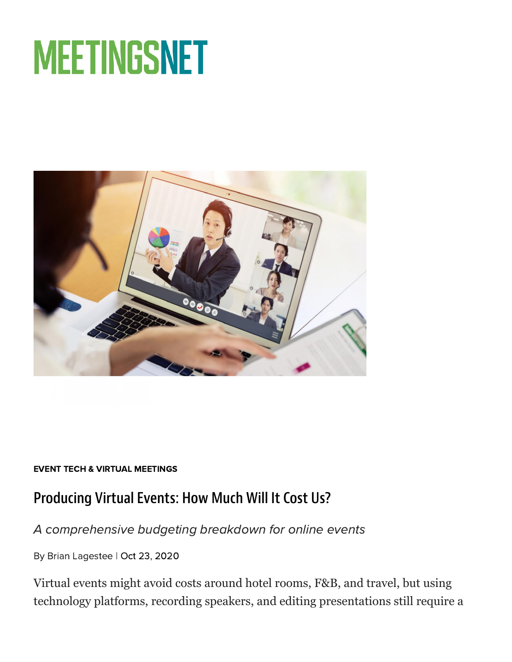# **MEETINGSNET**



#### EVENT TECH & VIRTUAL [MEETINGS](https://www.meetingsnet.com/event-tech-virtual-meetings)

## Producing Virtual Events: How Much Will It Cost Us?

#### A comprehensive budgeting breakdown for online events

By Brian Lagestee | Oct 23, 2020

Virtual events might avoid costs around hotel rooms, F&B, and travel, but using technology platforms, recording speakers, and editing presentations still require a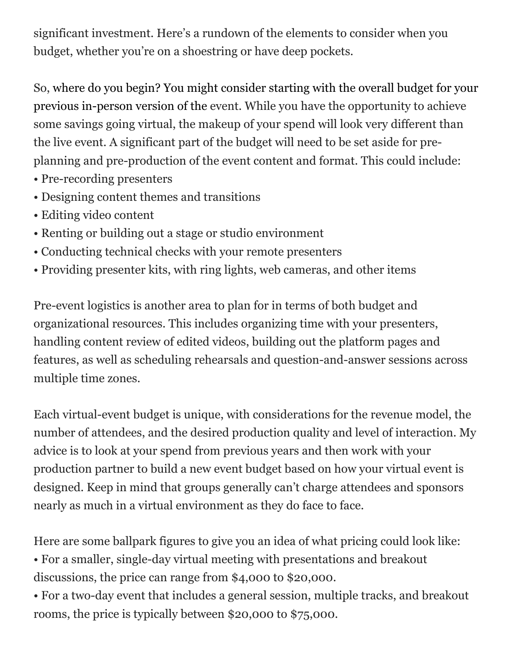significant investment. Here's a rundown of the elements to consider when you budget, whether you're on a shoestring or have deep pockets.

So, where do you begin? You might consider starting with the overall budget for your previous in-person version of the event. While you have the opportunity to achieve some savings going virtual, the makeup of your spend will look very different than the live event. A significant part of the budget will need to be set aside for preplanning and pre-production of the event content and format. This could include:

- Pre-recording presenters
- Designing content themes and transitions
- Editing video content
- Renting or building out a stage or studio environment
- Conducting technical checks with your remote presenters
- Providing presenter kits, with ring lights, web cameras, and other items

Pre-event logistics is another area to plan for in terms of both budget and organizational resources. This includes organizing time with your presenters, handling content review of edited videos, building out the platform pages and features, as well as scheduling rehearsals and question-and-answer sessions across multiple time zones.

Each virtual-event budget is unique, with considerations for the revenue model, the number of attendees, and the desired production quality and level of interaction. My advice is to look at your spend from previous years and then work with your production partner to build a new event budget based on how your virtual event is designed. Keep in mind that groups generally can't charge attendees and sponsors nearly as much in a virtual environment as they do face to face.

Here are some ballpark figures to give you an idea of what pricing could look like:

• For a smaller, single-day virtual meeting with presentations and breakout discussions, the price can range from \$4,000 to \$20,000.

• For a two-day event that includes a general session, multiple tracks, and breakout rooms, the price is typically between \$20,000 to \$75,000.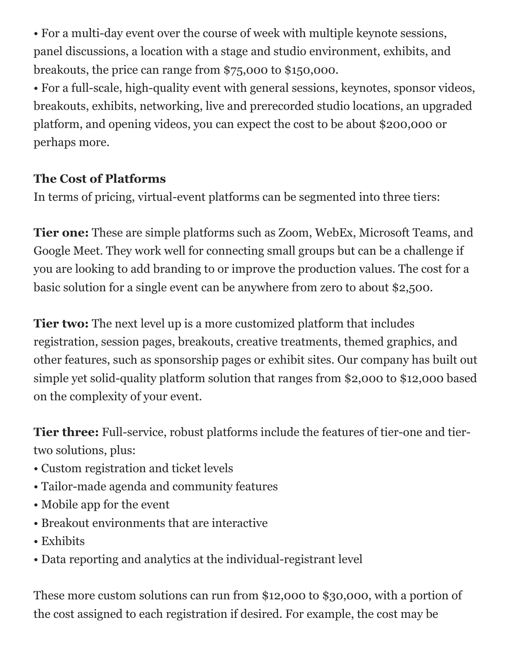• For a multi-day event over the course of week with multiple keynote sessions, panel discussions, a location with a stage and studio environment, exhibits, and breakouts, the price can range from \$75,000 to \$150,000.

• For a full-scale, high-quality event with general sessions, keynotes, sponsor videos, breakouts, exhibits, networking, live and prerecorded studio locations, an upgraded platform, and opening videos, you can expect the cost to be about \$200,000 or perhaps more.

#### **The Cost of Platforms**

In terms of pricing, virtual-event platforms can be segmented into three tiers:

**Tier one:** These are simple platforms such as Zoom, WebEx, Microsoft Teams, and Google Meet. They work well for connecting small groups but can be a challenge if you are looking to add branding to or improve the production values. The cost for a basic solution for a single event can be anywhere from zero to about \$2,500.

**Tier two:** The next level up is a more customized platform that includes registration, session pages, breakouts, creative treatments, themed graphics, and other features, such as sponsorship pages or exhibit sites. Our company has built out simple yet solid-quality platform solution that ranges from \$2,000 to \$12,000 based on the complexity of your event.

**Tier three:** Full-service, robust platforms include the features of tier-one and tiertwo solutions, plus:

- Custom registration and ticket levels
- Tailor-made agenda and community features
- Mobile app for the event
- Breakout environments that are interactive
- Exhibits
- Data reporting and analytics at the individual-registrant level

These more custom solutions can run from \$12,000 to \$30,000, with a portion of the cost assigned to each registration if desired. For example, the cost may be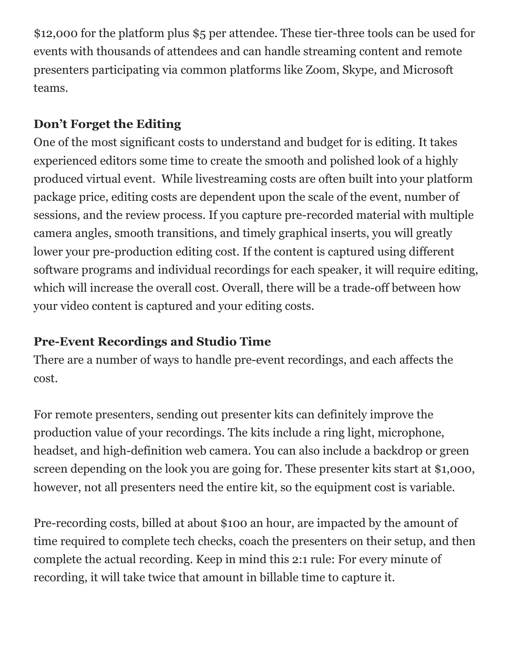\$12,000 for the platform plus \$5 per attendee. These tier-three tools can be used for events with thousands of attendees and can handle streaming content and remote presenters participating via common platforms like Zoom, Skype, and Microsoft teams.

#### **Don't Forget the Editing**

One of the most significant costs to understand and budget for is editing. It takes experienced editors some time to create the smooth and polished look of a highly produced virtual event. While livestreaming costs are often built into your platform package price, editing costs are dependent upon the scale of the event, number of sessions, and the review process. If you capture pre-recorded material with multiple camera angles, smooth transitions, and timely graphical inserts, you will greatly lower your pre-production editing cost. If the content is captured using different software programs and individual recordings for each speaker, it will require editing, which will increase the overall cost. Overall, there will be a trade-off between how your video content is captured and your editing costs.

## **Pre-Event Recordings and Studio Time**

There are a number of ways to handle pre-event recordings, and each affects the cost.

For remote presenters, sending out presenter kits can definitely improve the production value of your recordings. The kits include a ring light, microphone, headset, and high-definition web camera. You can also include a backdrop or green screen depending on the look you are going for. These presenter kits start at \$1,000, however, not all presenters need the entire kit, so the equipment cost is variable.

Pre-recording costs, billed at about \$100 an hour, are impacted by the amount of time required to complete tech checks, coach the presenters on their setup, and then complete the actual recording. Keep in mind this 2:1 rule: For every minute of recording, it will take twice that amount in billable time to capture it.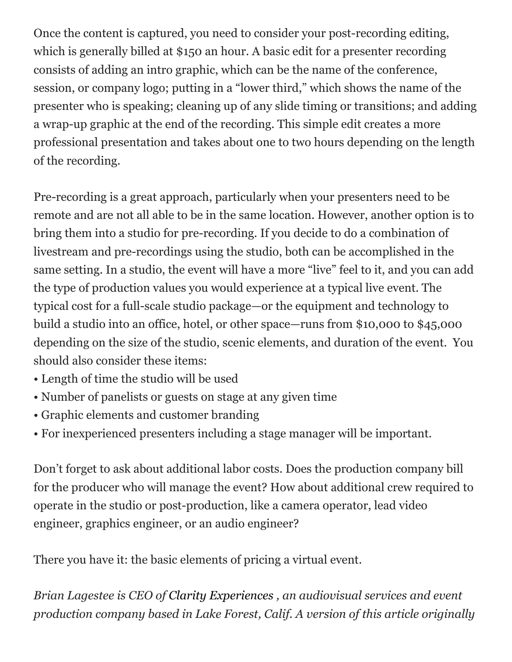Once the content is captured, you need to consider your post-recording editing, which is generally billed at \$150 an hour. A basic edit for a presenter recording consists of adding an intro graphic, which can be the name of the conference, session, or company logo; putting in a "lower third," which shows the name of the presenter who is speaking; cleaning up of any slide timing or transitions; and adding a wrap-up graphic at the end of the recording. This simple edit creates a more professional presentation and takes about one to two hours depending on the length of the recording.

Pre-recording is a great approach, particularly when your presenters need to be remote and are not all able to be in the same location. However, another option is to bring them into a studio for pre-recording. If you decide to do a combination of livestream and pre-recordings using the studio, both can be accomplished in the same setting. In a studio, the event will have a more "live" feel to it, and you can add the type of production values you would experience at a typical live event. The typical cost for a full-scale studio package—or the equipment and technology to build a studio into an office, hotel, or other space—runs from \$10,000 to \$45,000 depending on the size of the studio, scenic elements, and duration of the event. You should also consider these items:

- Length of time the studio will be used
- Number of panelists or guests on stage at any given time
- Graphic elements and customer branding
- For inexperienced presenters including a stage manager will be important.

Don't forget to ask about additional labor costs. Does the production company bill for the producer who will manage the event? How about additional crew required to operate in the studio or post-production, like a camera operator, lead video engineer, graphics engineer, or an audio engineer?

There you have it: the basic elements of pricing a virtual event.

*Brian Lagestee is CEO o[f](https://www.clarityexperiences.com/?utm_source=referral&utm_medium=blog&utm_campaign=meetingsnet) [Clarity Experiences](https://www.clarityexperiences.com/?utm_source=referral&utm_medium=blog&utm_campaign=meetingsnet) , an audiovisual services and event production company based in Lake Forest, Calif. A version of this article originally*